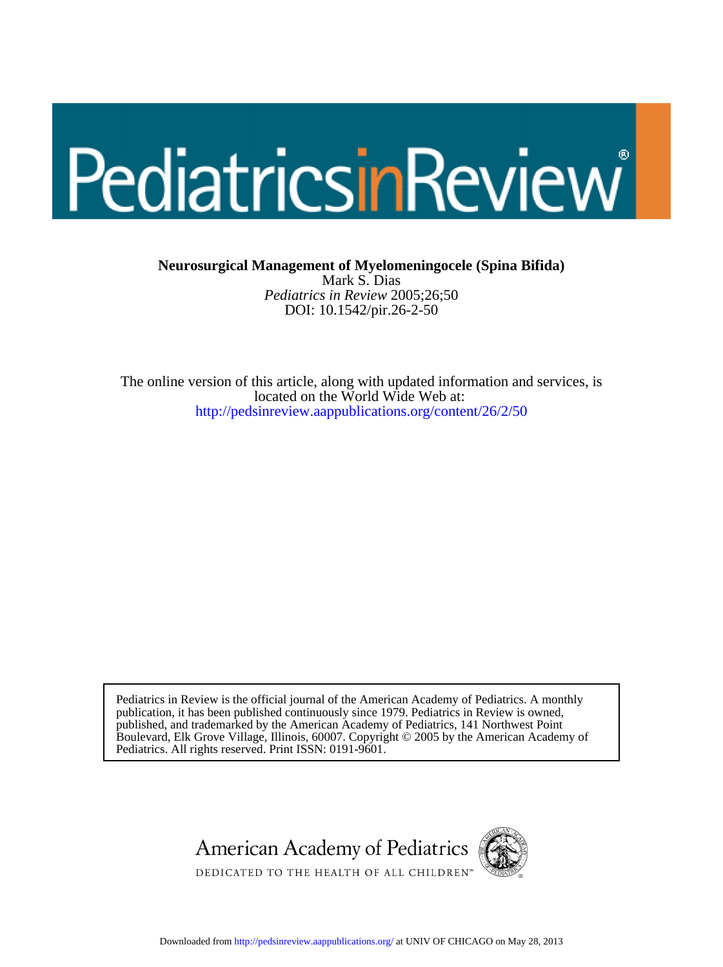

DOI: 10.1542/pir.26-2-50 *Pediatrics in Review* 2005;26;50 Mark S. Dias **Neurosurgical Management of Myelomeningocele (Spina Bifida)**

<http://pedsinreview.aappublications.org/content/26/2/50> located on the World Wide Web at: The online version of this article, along with updated information and services, is

Pediatrics. All rights reserved. Print ISSN: 0191-9601. Boulevard, Elk Grove Village, Illinois, 60007. Copyright © 2005 by the American Academy of published, and trademarked by the American Academy of Pediatrics, 141 Northwest Point publication, it has been published continuously since 1979. Pediatrics in Review is owned, Pediatrics in Review is the official journal of the American Academy of Pediatrics. A monthly

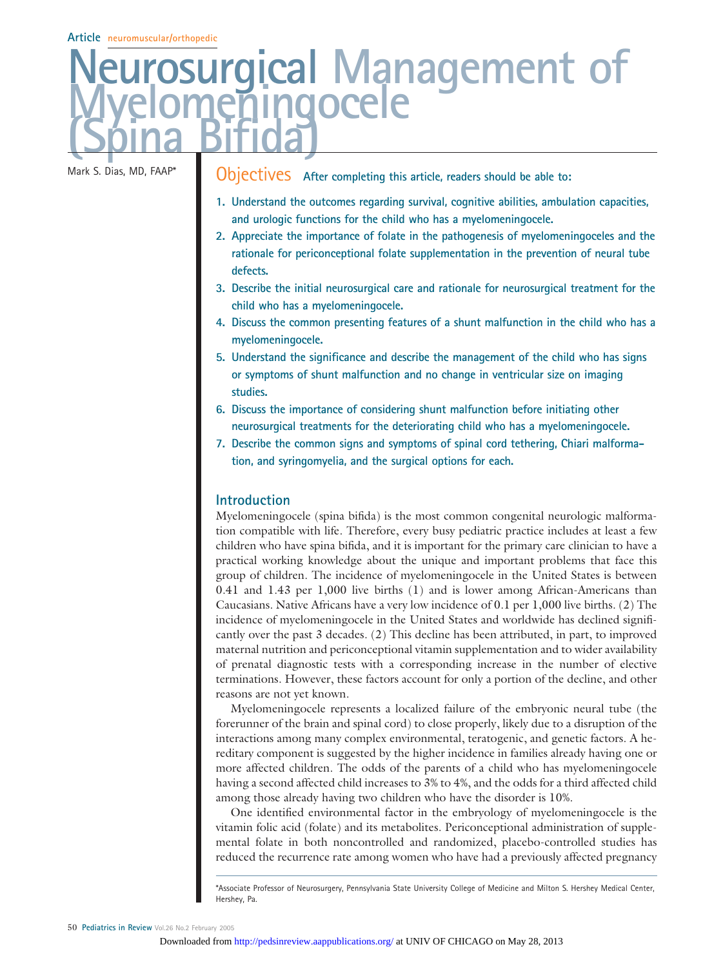# **Neurosurgical Management of Myelomeningocele (Spina Bifida)**

Mark S. Dias, MD, FAAP\* **CODICCIVES** After completing this article, readers should be able to:

- **1. Understand the outcomes regarding survival, cognitive abilities, ambulation capacities, and urologic functions for the child who has a myelomeningocele.**
- **2. Appreciate the importance of folate in the pathogenesis of myelomeningoceles and the rationale for periconceptional folate supplementation in the prevention of neural tube defects.**
- **3. Describe the initial neurosurgical care and rationale for neurosurgical treatment for the child who has a myelomeningocele.**
- **4. Discuss the common presenting features of a shunt malfunction in the child who has a myelomeningocele.**
- **5. Understand the significance and describe the management of the child who has signs or symptoms of shunt malfunction and no change in ventricular size on imaging studies.**
- **6. Discuss the importance of considering shunt malfunction before initiating other neurosurgical treatments for the deteriorating child who has a myelomeningocele.**
- **7. Describe the common signs and symptoms of spinal cord tethering, Chiari malformation, and syringomyelia, and the surgical options for each.**

## **Introduction**

Myelomeningocele (spina bifida) is the most common congenital neurologic malformation compatible with life. Therefore, every busy pediatric practice includes at least a few children who have spina bifida, and it is important for the primary care clinician to have a practical working knowledge about the unique and important problems that face this group of children. The incidence of myelomeningocele in the United States is between 0.41 and 1.43 per 1,000 live births (1) and is lower among African-Americans than Caucasians. Native Africans have a very low incidence of 0.1 per 1,000 live births. (2) The incidence of myelomeningocele in the United States and worldwide has declined significantly over the past 3 decades. (2) This decline has been attributed, in part, to improved maternal nutrition and periconceptional vitamin supplementation and to wider availability of prenatal diagnostic tests with a corresponding increase in the number of elective terminations. However, these factors account for only a portion of the decline, and other reasons are not yet known.

Myelomeningocele represents a localized failure of the embryonic neural tube (the forerunner of the brain and spinal cord) to close properly, likely due to a disruption of the interactions among many complex environmental, teratogenic, and genetic factors. A hereditary component is suggested by the higher incidence in families already having one or more affected children. The odds of the parents of a child who has myelomeningocele having a second affected child increases to 3% to 4%, and the odds for a third affected child among those already having two children who have the disorder is 10%.

One identified environmental factor in the embryology of myelomeningocele is the vitamin folic acid (folate) and its metabolites. Periconceptional administration of supplemental folate in both noncontrolled and randomized, placebo-controlled studies has reduced the recurrence rate among women who have had a previously affected pregnancy

\*Associate Professor of Neurosurgery, Pennsylvania State University College of Medicine and Milton S. Hershey Medical Center, Hershey, Pa.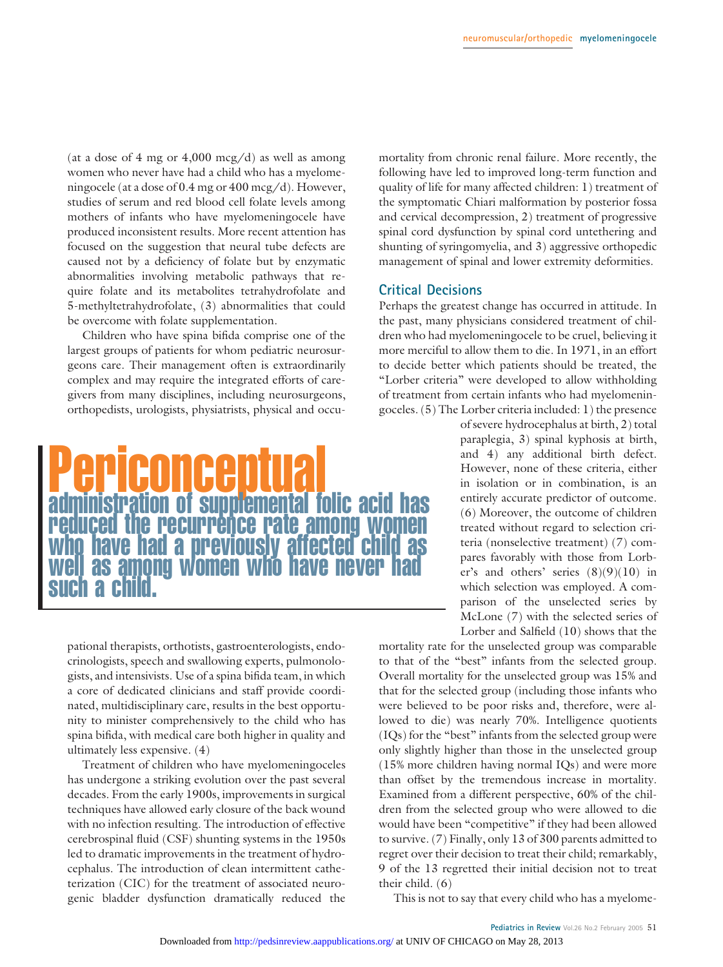(at a dose of 4 mg or  $4,000 \text{~mag/d}$ ) as well as among women who never have had a child who has a myelomeningocele (at a dose of 0.4 mg or 400 mcg/d). However, studies of serum and red blood cell folate levels among mothers of infants who have myelomeningocele have produced inconsistent results. More recent attention has focused on the suggestion that neural tube defects are caused not by a deficiency of folate but by enzymatic abnormalities involving metabolic pathways that require folate and its metabolites tetrahydrofolate and 5-methyltetrahydrofolate, (3) abnormalities that could be overcome with folate supplementation.

Children who have spina bifida comprise one of the largest groups of patients for whom pediatric neurosurgeons care. Their management often is extraordinarily complex and may require the integrated efforts of caregivers from many disciplines, including neurosurgeons, orthopedists, urologists, physiatrists, physical and occu-

# **Periconceptual<br>administration of supplemental folic acid has<br>reduced the recurrence rate among women<br>who have had a previously affected child as<br>well as among women who have never had<br>such a child.**

pational therapists, orthotists, gastroenterologists, endocrinologists, speech and swallowing experts, pulmonologists, and intensivists. Use of a spina bifida team, in which a core of dedicated clinicians and staff provide coordinated, multidisciplinary care, results in the best opportunity to minister comprehensively to the child who has spina bifida, with medical care both higher in quality and ultimately less expensive. (4)

Treatment of children who have myelomeningoceles has undergone a striking evolution over the past several decades. From the early 1900s, improvements in surgical techniques have allowed early closure of the back wound with no infection resulting. The introduction of effective cerebrospinal fluid (CSF) shunting systems in the 1950s led to dramatic improvements in the treatment of hydrocephalus. The introduction of clean intermittent catheterization (CIC) for the treatment of associated neurogenic bladder dysfunction dramatically reduced the

mortality from chronic renal failure. More recently, the following have led to improved long-term function and quality of life for many affected children: 1) treatment of the symptomatic Chiari malformation by posterior fossa and cervical decompression, 2) treatment of progressive spinal cord dysfunction by spinal cord untethering and shunting of syringomyelia, and 3) aggressive orthopedic management of spinal and lower extremity deformities.

### **Critical Decisions**

Perhaps the greatest change has occurred in attitude. In the past, many physicians considered treatment of children who had myelomeningocele to be cruel, believing it more merciful to allow them to die. In 1971, in an effort to decide better which patients should be treated, the "Lorber criteria" were developed to allow withholding of treatment from certain infants who had myelomeningoceles. (5) The Lorber criteria included: 1) the presence

> of severe hydrocephalus at birth, 2) total paraplegia, 3) spinal kyphosis at birth, and 4) any additional birth defect. However, none of these criteria, either in isolation or in combination, is an entirely accurate predictor of outcome. (6) Moreover, the outcome of children treated without regard to selection criteria (nonselective treatment) (7) compares favorably with those from Lorber's and others' series  $(8)(9)(10)$  in which selection was employed. A comparison of the unselected series by McLone (7) with the selected series of Lorber and Salfield (10) shows that the

mortality rate for the unselected group was comparable to that of the "best" infants from the selected group. Overall mortality for the unselected group was 15% and that for the selected group (including those infants who were believed to be poor risks and, therefore, were allowed to die) was nearly 70%. Intelligence quotients (IQs) for the "best" infants from the selected group were only slightly higher than those in the unselected group (15% more children having normal IQs) and were more than offset by the tremendous increase in mortality. Examined from a different perspective, 60% of the children from the selected group who were allowed to die would have been "competitive" if they had been allowed to survive. (7) Finally, only 13 of 300 parents admitted to regret over their decision to treat their child; remarkably, 9 of the 13 regretted their initial decision not to treat their child. (6)

This is not to say that every child who has a myelome-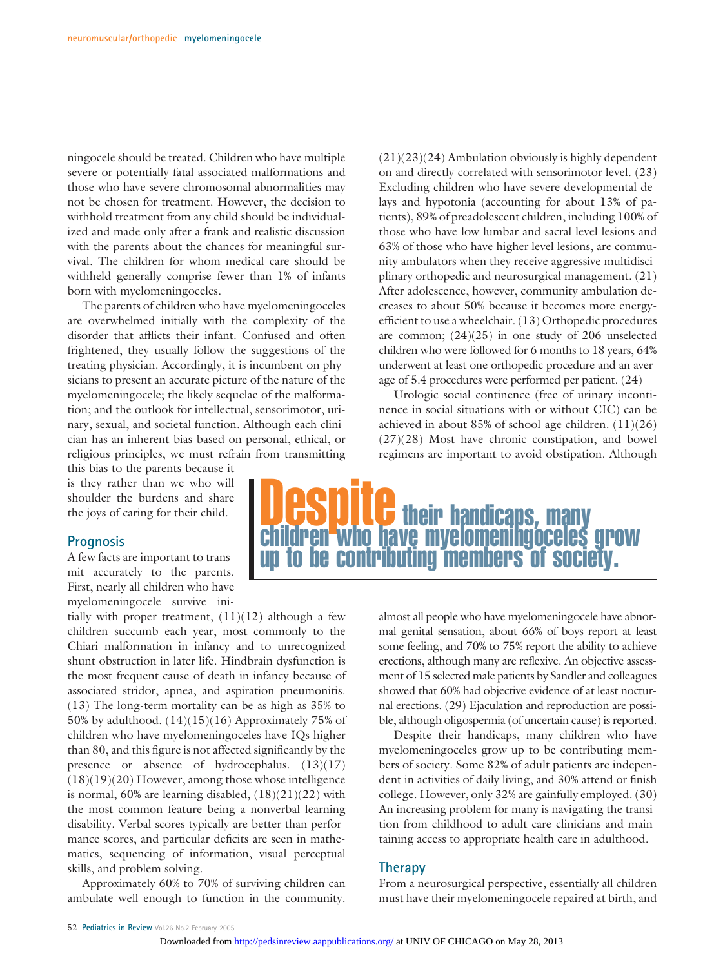ningocele should be treated. Children who have multiple severe or potentially fatal associated malformations and those who have severe chromosomal abnormalities may not be chosen for treatment. However, the decision to withhold treatment from any child should be individualized and made only after a frank and realistic discussion with the parents about the chances for meaningful survival. The children for whom medical care should be withheld generally comprise fewer than 1% of infants born with myelomeningoceles.

The parents of children who have myelomeningoceles are overwhelmed initially with the complexity of the disorder that afflicts their infant. Confused and often frightened, they usually follow the suggestions of the treating physician. Accordingly, it is incumbent on physicians to present an accurate picture of the nature of the myelomeningocele; the likely sequelae of the malformation; and the outlook for intellectual, sensorimotor, urinary, sexual, and societal function. Although each clinician has an inherent bias based on personal, ethical, or religious principles, we must refrain from transmitting

this bias to the parents because it is they rather than we who will shoulder the burdens and share the joys of caring for their child.

### **Prognosis**

A few facts are important to transmit accurately to the parents. First, nearly all children who have myelomeningocele survive ini-

tially with proper treatment,  $(11)(12)$  although a few children succumb each year, most commonly to the Chiari malformation in infancy and to unrecognized shunt obstruction in later life. Hindbrain dysfunction is the most frequent cause of death in infancy because of associated stridor, apnea, and aspiration pneumonitis. (13) The long-term mortality can be as high as 35% to 50% by adulthood. (14)(15)(16) Approximately 75% of children who have myelomeningoceles have IQs higher than 80, and this figure is not affected significantly by the presence or absence of hydrocephalus. (13)(17) (18)(19)(20) However, among those whose intelligence is normal,  $60\%$  are learning disabled,  $(18)(21)(22)$  with the most common feature being a nonverbal learning disability. Verbal scores typically are better than performance scores, and particular deficits are seen in mathematics, sequencing of information, visual perceptual skills, and problem solving.

Approximately 60% to 70% of surviving children can ambulate well enough to function in the community.

 $(21)(23)(24)$  Ambulation obviously is highly dependent on and directly correlated with sensorimotor level. (23) Excluding children who have severe developmental delays and hypotonia (accounting for about 13% of patients), 89% of preadolescent children, including 100% of those who have low lumbar and sacral level lesions and 63% of those who have higher level lesions, are community ambulators when they receive aggressive multidisciplinary orthopedic and neurosurgical management. (21) After adolescence, however, community ambulation decreases to about 50% because it becomes more energyefficient to use a wheelchair. (13) Orthopedic procedures are common; (24)(25) in one study of 206 unselected children who were followed for 6 months to 18 years, 64% underwent at least one orthopedic procedure and an average of 5.4 procedures were performed per patient. (24)

Urologic social continence (free of urinary incontinence in social situations with or without CIC) can be achieved in about 85% of school-age children. (11)(26) (27)(28) Most have chronic constipation, and bowel regimens are important to avoid obstipation. Although



almost all people who have myelomeningocele have abnormal genital sensation, about 66% of boys report at least some feeling, and 70% to 75% report the ability to achieve erections, although many are reflexive. An objective assessment of 15 selected male patients by Sandler and colleagues showed that 60% had objective evidence of at least nocturnal erections. (29) Ejaculation and reproduction are possible, although oligospermia (of uncertain cause) is reported.

Despite their handicaps, many children who have myelomeningoceles grow up to be contributing members of society. Some 82% of adult patients are independent in activities of daily living, and 30% attend or finish college. However, only 32% are gainfully employed. (30) An increasing problem for many is navigating the transition from childhood to adult care clinicians and maintaining access to appropriate health care in adulthood.

### **Therapy**

From a neurosurgical perspective, essentially all children must have their myelomeningocele repaired at birth, and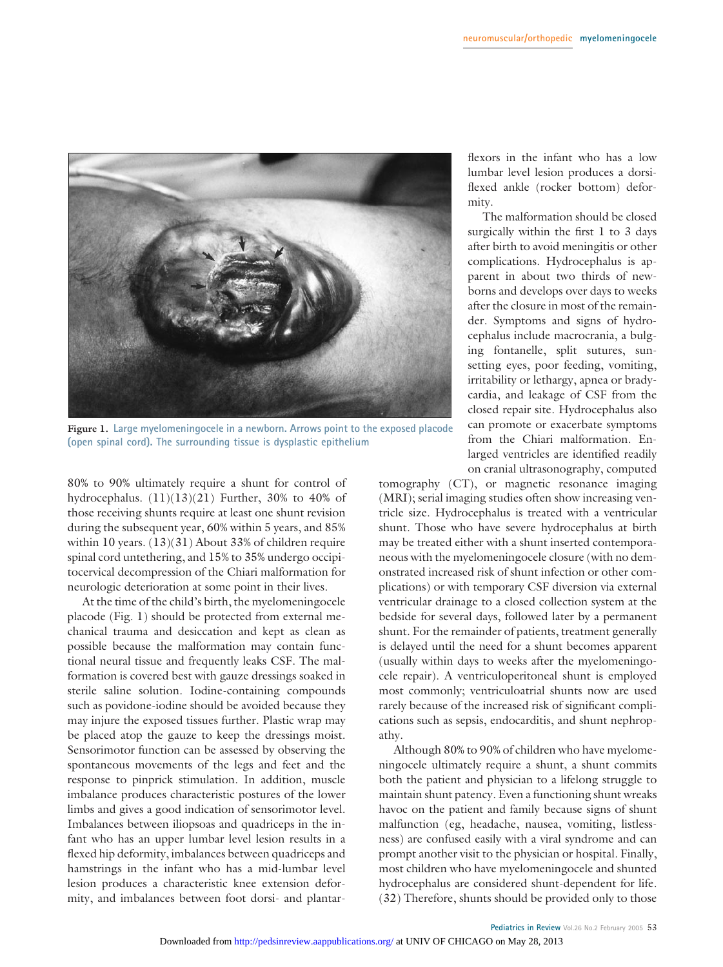

**Figure 1. Large myelomeningocele in a newborn. Arrows point to the exposed placode (open spinal cord). The surrounding tissue is dysplastic epithelium**

80% to 90% ultimately require a shunt for control of hydrocephalus. (11)(13)(21) Further, 30% to 40% of those receiving shunts require at least one shunt revision during the subsequent year, 60% within 5 years, and 85% within 10 years. (13)(31) About 33% of children require spinal cord untethering, and 15% to 35% undergo occipitocervical decompression of the Chiari malformation for neurologic deterioration at some point in their lives.

At the time of the child's birth, the myelomeningocele placode (Fig. 1) should be protected from external mechanical trauma and desiccation and kept as clean as possible because the malformation may contain functional neural tissue and frequently leaks CSF. The malformation is covered best with gauze dressings soaked in sterile saline solution. Iodine-containing compounds such as povidone-iodine should be avoided because they may injure the exposed tissues further. Plastic wrap may be placed atop the gauze to keep the dressings moist. Sensorimotor function can be assessed by observing the spontaneous movements of the legs and feet and the response to pinprick stimulation. In addition, muscle imbalance produces characteristic postures of the lower limbs and gives a good indication of sensorimotor level. Imbalances between iliopsoas and quadriceps in the infant who has an upper lumbar level lesion results in a flexed hip deformity, imbalances between quadriceps and hamstrings in the infant who has a mid-lumbar level lesion produces a characteristic knee extension deformity, and imbalances between foot dorsi- and plantarflexors in the infant who has a low lumbar level lesion produces a dorsiflexed ankle (rocker bottom) deformity.

The malformation should be closed surgically within the first 1 to 3 days after birth to avoid meningitis or other complications. Hydrocephalus is apparent in about two thirds of newborns and develops over days to weeks after the closure in most of the remainder. Symptoms and signs of hydrocephalus include macrocrania, a bulging fontanelle, split sutures, sunsetting eyes, poor feeding, vomiting, irritability or lethargy, apnea or bradycardia, and leakage of CSF from the closed repair site. Hydrocephalus also can promote or exacerbate symptoms from the Chiari malformation. Enlarged ventricles are identified readily on cranial ultrasonography, computed

tomography (CT), or magnetic resonance imaging (MRI); serial imaging studies often show increasing ventricle size. Hydrocephalus is treated with a ventricular shunt. Those who have severe hydrocephalus at birth may be treated either with a shunt inserted contemporaneous with the myelomeningocele closure (with no demonstrated increased risk of shunt infection or other complications) or with temporary CSF diversion via external ventricular drainage to a closed collection system at the bedside for several days, followed later by a permanent shunt. For the remainder of patients, treatment generally is delayed until the need for a shunt becomes apparent (usually within days to weeks after the myelomeningocele repair). A ventriculoperitoneal shunt is employed most commonly; ventriculoatrial shunts now are used rarely because of the increased risk of significant complications such as sepsis, endocarditis, and shunt nephropathy.

Although 80% to 90% of children who have myelomeningocele ultimately require a shunt, a shunt commits both the patient and physician to a lifelong struggle to maintain shunt patency. Even a functioning shunt wreaks havoc on the patient and family because signs of shunt malfunction (eg, headache, nausea, vomiting, listlessness) are confused easily with a viral syndrome and can prompt another visit to the physician or hospital. Finally, most children who have myelomeningocele and shunted hydrocephalus are considered shunt-dependent for life. (32) Therefore, shunts should be provided only to those

Pediatrics in Review Vol.26 No.2 February 2005 53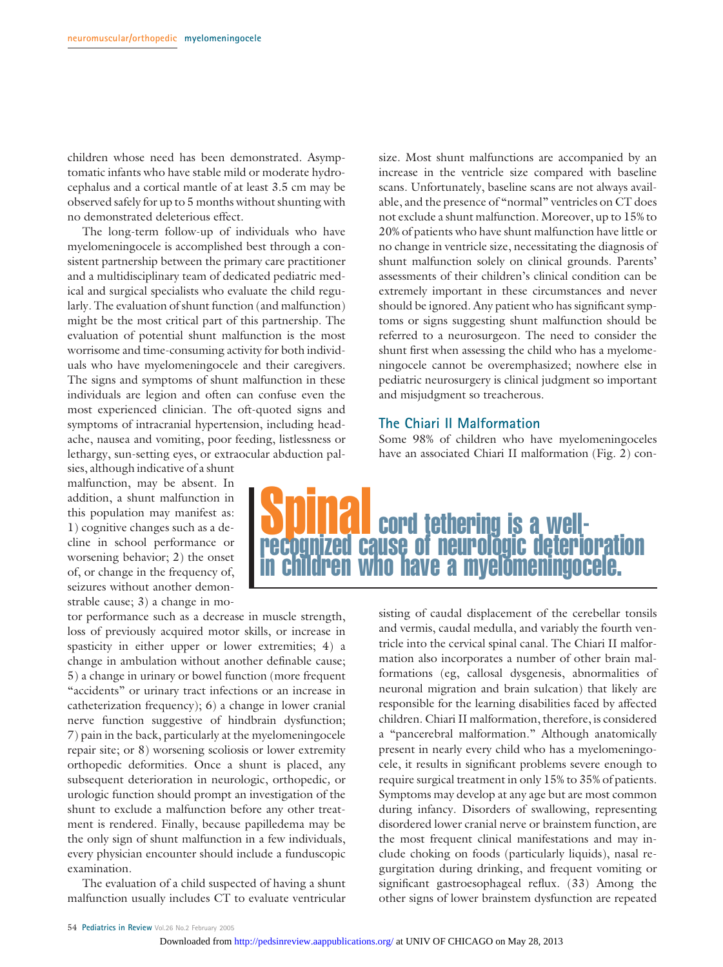children whose need has been demonstrated. Asymptomatic infants who have stable mild or moderate hydrocephalus and a cortical mantle of at least 3.5 cm may be observed safely for up to 5 months without shunting with no demonstrated deleterious effect.

The long-term follow-up of individuals who have myelomeningocele is accomplished best through a consistent partnership between the primary care practitioner and a multidisciplinary team of dedicated pediatric medical and surgical specialists who evaluate the child regularly. The evaluation of shunt function (and malfunction) might be the most critical part of this partnership. The evaluation of potential shunt malfunction is the most worrisome and time-consuming activity for both individuals who have myelomeningocele and their caregivers. The signs and symptoms of shunt malfunction in these individuals are legion and often can confuse even the most experienced clinician. The oft-quoted signs and symptoms of intracranial hypertension, including headache, nausea and vomiting, poor feeding, listlessness or lethargy, sun-setting eyes, or extraocular abduction pal-

sies, although indicative of a shunt malfunction, may be absent. In addition, a shunt malfunction in this population may manifest as: 1) cognitive changes such as a decline in school performance or worsening behavior; 2) the onset of, or change in the frequency of, seizures without another demonstrable cause; 3) a change in mo-

tor performance such as a decrease in muscle strength, loss of previously acquired motor skills, or increase in spasticity in either upper or lower extremities; 4) a change in ambulation without another definable cause; 5) a change in urinary or bowel function (more frequent "accidents" or urinary tract infections or an increase in catheterization frequency); 6) a change in lower cranial nerve function suggestive of hindbrain dysfunction; 7) pain in the back, particularly at the myelomeningocele repair site; or 8) worsening scoliosis or lower extremity orthopedic deformities. Once a shunt is placed, any subsequent deterioration in neurologic, orthopedic*,* or urologic function should prompt an investigation of the shunt to exclude a malfunction before any other treatment is rendered. Finally, because papilledema may be the only sign of shunt malfunction in a few individuals, every physician encounter should include a funduscopic examination.

The evaluation of a child suspected of having a shunt malfunction usually includes CT to evaluate ventricular

size. Most shunt malfunctions are accompanied by an increase in the ventricle size compared with baseline scans. Unfortunately, baseline scans are not always available, and the presence of "normal" ventricles on CT does not exclude a shunt malfunction. Moreover, up to 15% to 20% of patients who have shunt malfunction have little or no change in ventricle size, necessitating the diagnosis of shunt malfunction solely on clinical grounds. Parents' assessments of their children's clinical condition can be extremely important in these circumstances and never should be ignored. Any patient who has significant symptoms or signs suggesting shunt malfunction should be referred to a neurosurgeon. The need to consider the shunt first when assessing the child who has a myelomeningocele cannot be overemphasized; nowhere else in pediatric neurosurgery is clinical judgment so important and misjudgment so treacherous.

### **The Chiari II Malformation**

Some 98% of children who have myelomeningoceles have an associated Chiari II malformation (Fig. 2) con-



sisting of caudal displacement of the cerebellar tonsils and vermis, caudal medulla, and variably the fourth ventricle into the cervical spinal canal. The Chiari II malformation also incorporates a number of other brain malformations (eg, callosal dysgenesis, abnormalities of neuronal migration and brain sulcation) that likely are responsible for the learning disabilities faced by affected children. Chiari II malformation, therefore, is considered a "pancerebral malformation." Although anatomically present in nearly every child who has a myelomeningocele, it results in significant problems severe enough to require surgical treatment in only 15% to 35% of patients. Symptoms may develop at any age but are most common during infancy. Disorders of swallowing, representing disordered lower cranial nerve or brainstem function, are the most frequent clinical manifestations and may include choking on foods (particularly liquids), nasal regurgitation during drinking, and frequent vomiting or significant gastroesophageal reflux. (33) Among the other signs of lower brainstem dysfunction are repeated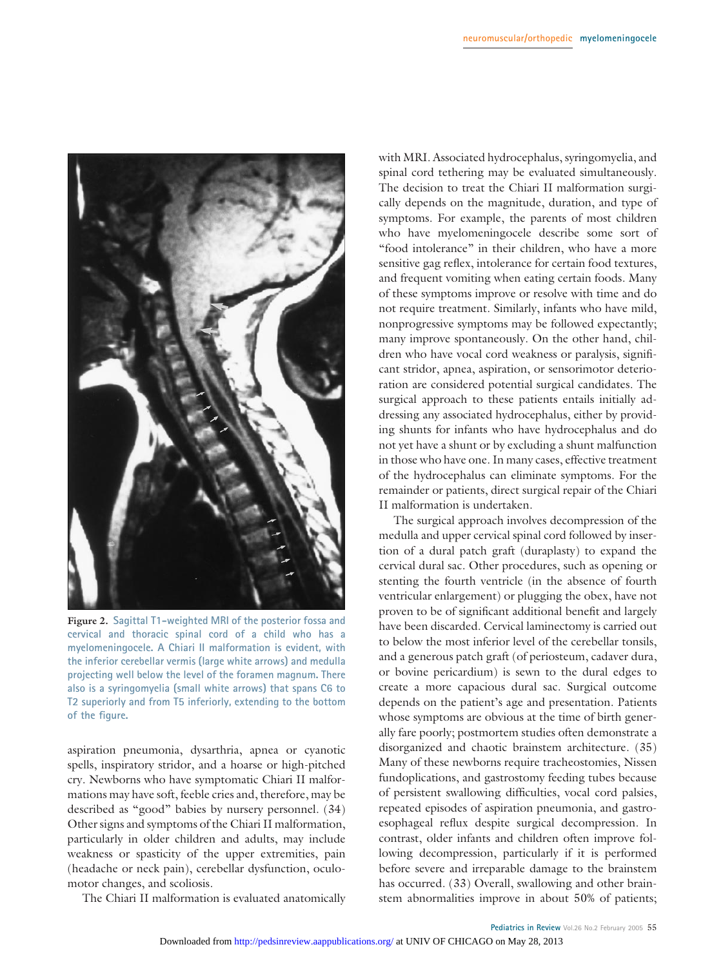

**Figure 2. Sagittal T1-weighted MRI of the posterior fossa and cervical and thoracic spinal cord of a child who has a myelomeningocele. A Chiari II malformation is evident, with the inferior cerebellar vermis (large white arrows) and medulla projecting well below the level of the foramen magnum. There also is a syringomyelia (small white arrows) that spans C6 to T2 superiorly and from T5 inferiorly, extending to the bottom of the figure.**

aspiration pneumonia, dysarthria, apnea or cyanotic spells, inspiratory stridor, and a hoarse or high-pitched cry. Newborns who have symptomatic Chiari II malformations may have soft, feeble cries and, therefore, may be described as "good" babies by nursery personnel. (34) Other signs and symptoms of the Chiari II malformation, particularly in older children and adults, may include weakness or spasticity of the upper extremities, pain (headache or neck pain), cerebellar dysfunction, oculomotor changes, and scoliosis.

The Chiari II malformation is evaluated anatomically

with MRI. Associated hydrocephalus, syringomyelia, and spinal cord tethering may be evaluated simultaneously. The decision to treat the Chiari II malformation surgically depends on the magnitude, duration, and type of symptoms. For example, the parents of most children who have myelomeningocele describe some sort of "food intolerance" in their children, who have a more sensitive gag reflex, intolerance for certain food textures, and frequent vomiting when eating certain foods. Many of these symptoms improve or resolve with time and do not require treatment. Similarly, infants who have mild, nonprogressive symptoms may be followed expectantly; many improve spontaneously. On the other hand, children who have vocal cord weakness or paralysis, significant stridor, apnea, aspiration, or sensorimotor deterioration are considered potential surgical candidates. The surgical approach to these patients entails initially addressing any associated hydrocephalus, either by providing shunts for infants who have hydrocephalus and do not yet have a shunt or by excluding a shunt malfunction in those who have one. In many cases, effective treatment of the hydrocephalus can eliminate symptoms. For the remainder or patients, direct surgical repair of the Chiari II malformation is undertaken.

The surgical approach involves decompression of the medulla and upper cervical spinal cord followed by insertion of a dural patch graft (duraplasty) to expand the cervical dural sac. Other procedures, such as opening or stenting the fourth ventricle (in the absence of fourth ventricular enlargement) or plugging the obex, have not proven to be of significant additional benefit and largely have been discarded. Cervical laminectomy is carried out to below the most inferior level of the cerebellar tonsils, and a generous patch graft (of periosteum, cadaver dura, or bovine pericardium) is sewn to the dural edges to create a more capacious dural sac. Surgical outcome depends on the patient's age and presentation. Patients whose symptoms are obvious at the time of birth generally fare poorly; postmortem studies often demonstrate a disorganized and chaotic brainstem architecture. (35) Many of these newborns require tracheostomies, Nissen fundoplications, and gastrostomy feeding tubes because of persistent swallowing difficulties, vocal cord palsies, repeated episodes of aspiration pneumonia, and gastroesophageal reflux despite surgical decompression. In contrast, older infants and children often improve following decompression, particularly if it is performed before severe and irreparable damage to the brainstem has occurred. (33) Overall, swallowing and other brainstem abnormalities improve in about 50% of patients;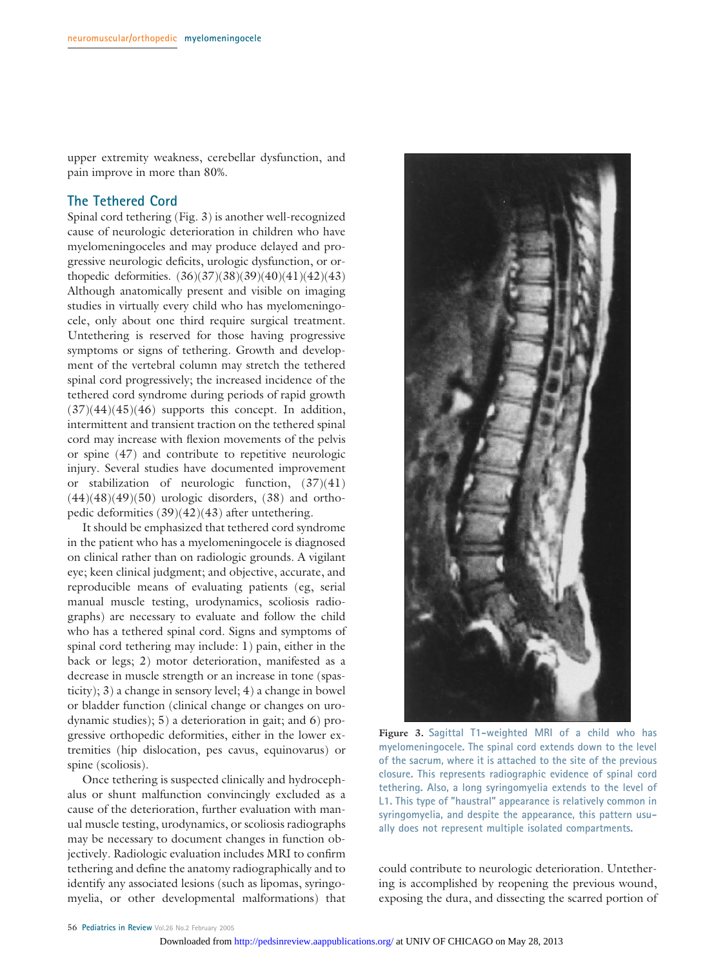upper extremity weakness, cerebellar dysfunction, and pain improve in more than 80%.

### **The Tethered Cord**

Spinal cord tethering (Fig. 3) is another well-recognized cause of neurologic deterioration in children who have myelomeningoceles and may produce delayed and progressive neurologic deficits, urologic dysfunction, or orthopedic deformities. (36)(37)(38)(39)(40)(41)(42)(43) Although anatomically present and visible on imaging studies in virtually every child who has myelomeningocele, only about one third require surgical treatment. Untethering is reserved for those having progressive symptoms or signs of tethering. Growth and development of the vertebral column may stretch the tethered spinal cord progressively; the increased incidence of the tethered cord syndrome during periods of rapid growth  $(37)(44)(45)(46)$  supports this concept. In addition, intermittent and transient traction on the tethered spinal cord may increase with flexion movements of the pelvis or spine (47) and contribute to repetitive neurologic injury. Several studies have documented improvement or stabilization of neurologic function, (37)(41)  $(44)(48)(49)(50)$  urologic disorders,  $(38)$  and orthopedic deformities (39)(42)(43) after untethering.

It should be emphasized that tethered cord syndrome in the patient who has a myelomeningocele is diagnosed on clinical rather than on radiologic grounds. A vigilant eye; keen clinical judgment; and objective, accurate, and reproducible means of evaluating patients (eg, serial manual muscle testing, urodynamics, scoliosis radiographs) are necessary to evaluate and follow the child who has a tethered spinal cord. Signs and symptoms of spinal cord tethering may include: 1) pain, either in the back or legs; 2) motor deterioration, manifested as a decrease in muscle strength or an increase in tone (spasticity); 3) a change in sensory level; 4) a change in bowel or bladder function (clinical change or changes on urodynamic studies); 5) a deterioration in gait; and 6) progressive orthopedic deformities, either in the lower extremities (hip dislocation, pes cavus, equinovarus) or spine (scoliosis).

Once tethering is suspected clinically and hydrocephalus or shunt malfunction convincingly excluded as a cause of the deterioration, further evaluation with manual muscle testing, urodynamics, or scoliosis radiographs may be necessary to document changes in function objectively. Radiologic evaluation includes MRI to confirm tethering and define the anatomy radiographically and to identify any associated lesions (such as lipomas, syringomyelia, or other developmental malformations) that



**Figure 3. Sagittal T1-weighted MRI of a child who has myelomeningocele. The spinal cord extends down to the level of the sacrum, where it is attached to the site of the previous closure. This represents radiographic evidence of spinal cord tethering. Also, a long syringomyelia extends to the level of L1. This type of "haustral" appearance is relatively common in syringomyelia, and despite the appearance, this pattern usually does not represent multiple isolated compartments.**

could contribute to neurologic deterioration. Untethering is accomplished by reopening the previous wound, exposing the dura, and dissecting the scarred portion of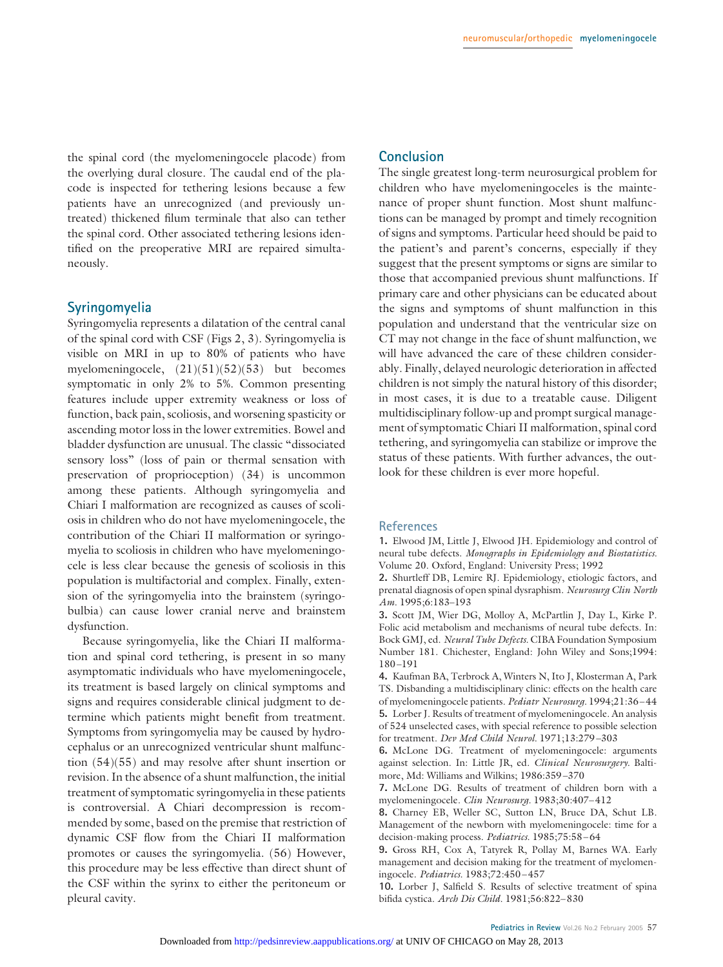the spinal cord (the myelomeningocele placode) from the overlying dural closure. The caudal end of the placode is inspected for tethering lesions because a few patients have an unrecognized (and previously untreated) thickened filum terminale that also can tether the spinal cord. Other associated tethering lesions identified on the preoperative MRI are repaired simultaneously.

### **Syringomyelia**

Syringomyelia represents a dilatation of the central canal of the spinal cord with CSF (Figs 2, 3). Syringomyelia is visible on MRI in up to 80% of patients who have myelomeningocele, (21)(51)(52)(53) but becomes symptomatic in only 2% to 5%. Common presenting features include upper extremity weakness or loss of function, back pain, scoliosis, and worsening spasticity or ascending motor loss in the lower extremities. Bowel and bladder dysfunction are unusual. The classic "dissociated sensory loss" (loss of pain or thermal sensation with preservation of proprioception) (34) is uncommon among these patients. Although syringomyelia and Chiari I malformation are recognized as causes of scoliosis in children who do not have myelomeningocele, the contribution of the Chiari II malformation or syringomyelia to scoliosis in children who have myelomeningocele is less clear because the genesis of scoliosis in this population is multifactorial and complex. Finally, extension of the syringomyelia into the brainstem (syringobulbia) can cause lower cranial nerve and brainstem dysfunction.

Because syringomyelia, like the Chiari II malformation and spinal cord tethering, is present in so many asymptomatic individuals who have myelomeningocele, its treatment is based largely on clinical symptoms and signs and requires considerable clinical judgment to determine which patients might benefit from treatment. Symptoms from syringomyelia may be caused by hydrocephalus or an unrecognized ventricular shunt malfunction (54)(55) and may resolve after shunt insertion or revision. In the absence of a shunt malfunction, the initial treatment of symptomatic syringomyelia in these patients is controversial. A Chiari decompression is recommended by some, based on the premise that restriction of dynamic CSF flow from the Chiari II malformation promotes or causes the syringomyelia. (56) However, this procedure may be less effective than direct shunt of the CSF within the syrinx to either the peritoneum or pleural cavity.

### **Conclusion**

The single greatest long-term neurosurgical problem for children who have myelomeningoceles is the maintenance of proper shunt function. Most shunt malfunctions can be managed by prompt and timely recognition of signs and symptoms. Particular heed should be paid to the patient's and parent's concerns, especially if they suggest that the present symptoms or signs are similar to those that accompanied previous shunt malfunctions. If primary care and other physicians can be educated about the signs and symptoms of shunt malfunction in this population and understand that the ventricular size on CT may not change in the face of shunt malfunction, we will have advanced the care of these children considerably. Finally, delayed neurologic deterioration in affected children is not simply the natural history of this disorder; in most cases, it is due to a treatable cause. Diligent multidisciplinary follow-up and prompt surgical management of symptomatic Chiari II malformation, spinal cord tethering, and syringomyelia can stabilize or improve the status of these patients. With further advances, the outlook for these children is ever more hopeful.

### **References**

**1.** Elwood JM, Little J, Elwood JH. Epidemiology and control of neural tube defects. *Monographs in Epidemiology and Biostatistics.* Volume 20. Oxford, England: University Press; 1992

**2.** Shurtleff DB, Lemire RJ. Epidemiology, etiologic factors, and prenatal diagnosis of open spinal dysraphism. *Neurosurg Clin North Am.* 1995;6:183–193

**3.** Scott JM, Wier DG, Molloy A, McPartlin J, Day L, Kirke P. Folic acid metabolism and mechanisms of neural tube defects. In: Bock GMJ, ed. *Neural Tube Defects.* CIBA Foundation Symposium Number 181. Chichester, England: John Wiley and Sons;1994: 180 –191

**4.** Kaufman BA, Terbrock A, Winters N, Ito J, Klosterman A, Park TS. Disbanding a multidisciplinary clinic: effects on the health care of myelomeningocele patients. *Pediatr Neurosurg.* 1994;21:36 – 44 **5.** Lorber J. Results of treatment of myelomeningocele. An analysis of 524 unselected cases, with special reference to possible selection for treatment. *Dev Med Child Neurol.* 1971;13:279 –303

**6.** McLone DG. Treatment of myelomeningocele: arguments against selection. In: Little JR, ed. *Clinical Neurosurgery.* Baltimore, Md: Williams and Wilkins; 1986:359 –370

**7.** McLone DG. Results of treatment of children born with a myelomeningocele. *Clin Neurosurg.* 1983;30:407– 412

**8.** Charney EB, Weller SC, Sutton LN, Bruce DA, Schut LB. Management of the newborn with myelomeningocele: time for a decision-making process. *Pediatrics*. 1985;75:58-64

**9.** Gross RH, Cox A, Tatyrek R, Pollay M, Barnes WA. Early management and decision making for the treatment of myelomeningocele. *Pediatrics.* 1983;72:450 – 457

**10.** Lorber J, Salfield S. Results of selective treatment of spina bifida cystica. *Arch Dis Child.* 1981;56:822– 830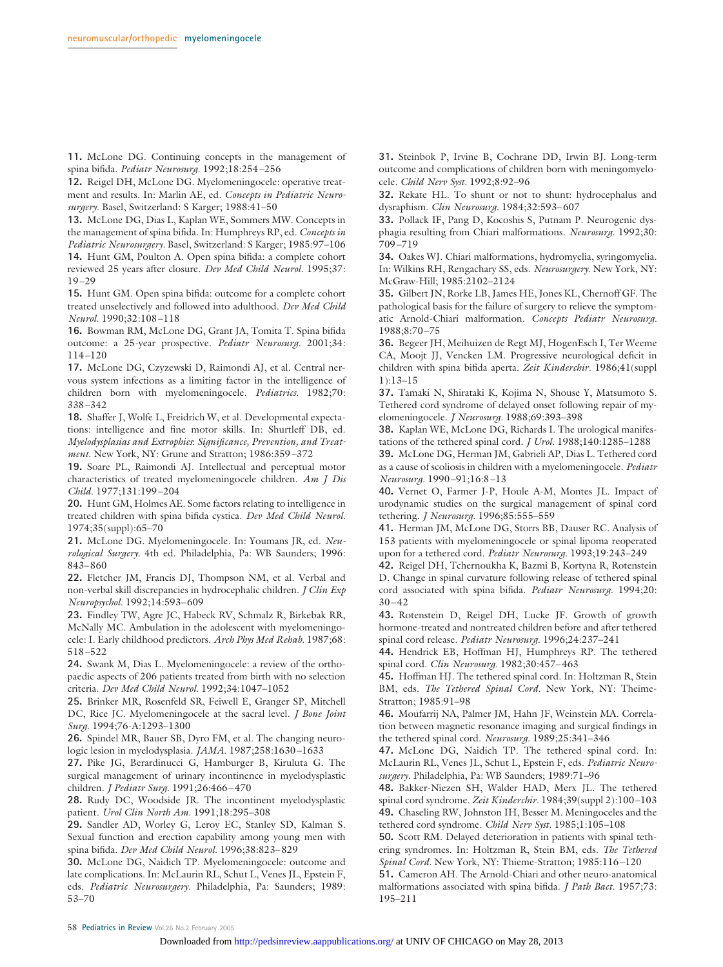**11.** McLone DG. Continuing concepts in the management of spina bifida. *Pediatr Neurosurg.* 1992;18:254 –256

**12.** Reigel DH, McLone DG. Myelomeningocele: operative treatment and results. In: Marlin AE, ed. *Concepts in Pediatric Neurosurgery.* Basel, Switzerland: S Karger; 1988:41–50

**13.** McLone DG, Dias L, Kaplan WE, Sommers MW. Concepts in the management of spina bifida. In: Humphreys RP, ed. *Concepts in Pediatric Neurosurgery.* Basel, Switzerland: S Karger; 1985:97–106 **14.** Hunt GM, Poulton A. Open spina bifida: a complete cohort reviewed 25 years after closure. *Dev Med Child Neurol.* 1995;37: 19 –29

**15.** Hunt GM. Open spina bifida: outcome for a complete cohort treated unselectively and followed into adulthood. *Dev Med Child Neurol.* 1990;32:108 –118

**16.** Bowman RM, McLone DG, Grant JA, Tomita T. Spina bifida outcome: a 25-year prospective. *Pediatr Neurosurg.* 2001;34: 114 –120

**17.** McLone DG, Czyzewski D, Raimondi AJ, et al. Central nervous system infections as a limiting factor in the intelligence of children born with myelomeningocele. *Pediatrics.* 1982;70: 338 –342

**18.** Shaffer J, Wolfe L, Freidrich W, et al. Developmental expectations: intelligence and fine motor skills. In: Shurtleff DB, ed. *Myelodysplasias and Extrophies*: *Significance, Prevention, and Treatment.* New York, NY: Grune and Stratton; 1986:359 –372

**19.** Soare PL, Raimondi AJ. Intellectual and perceptual motor characteristics of treated myelomeningocele children. *Am J Dis Child.* 1977;131:199 –204

**20.** Hunt GM, Holmes AE. Some factors relating to intelligence in treated children with spina bifida cystica. *Dev Med Child Neurol.* 1974;35(suppl):65–70

**21.** McLone DG. Myelomeningocele. In: Youmans JR, ed. *Neurological Surgery.* 4th ed. Philadelphia, Pa: WB Saunders; 1996: 843– 860

**22.** Fletcher JM, Francis DJ, Thompson NM, et al. Verbal and non-verbal skill discrepancies in hydrocephalic children. *J Clin Exp Neuropsychol.* 1992;14:593– 609

**23.** Findley TW, Agre JC, Habeck RV, Schmalz R, Birkebak RR, McNally MC. Ambulation in the adolescent with myelomeningocele: I. Early childhood predictors. *Arch Phys Med Rehab.* 1987;68: 518 –522

**24.** Swank M, Dias L. Myelomeningocele: a review of the orthopaedic aspects of 206 patients treated from birth with no selection criteria. *Dev Med Child Neurol.* 1992;34:1047–1052

**25.** Brinker MR, Rosenfeld SR, Feiwell E, Granger SP, Mitchell DC, Rice JC. Myelomeningocele at the sacral level. *J Bone Joint Surg.* 1994;76-A:1293–1300

**26.** Spindel MR, Bauer SB, Dyro FM, et al. The changing neurologic lesion in myelodysplasia. *JAMA.* 1987;258:1630 –1633

**27.** Pike JG, Berardinucci G, Hamburger B, Kiruluta G. The surgical management of urinary incontinence in myelodysplastic children. *J Pediatr Surg.* 1991;26:466 – 470

**28.** Rudy DC, Woodside JR. The incontinent myelodysplastic patient. *Urol Clin North Am.* 1991;18:295–308

**29.** Sandler AD, Worley G, Leroy EC, Stanley SD, Kalman S. Sexual function and erection capability among young men with spina bifida. *Dev Med Child Neurol.* 1996;38:823– 829

**30.** McLone DG, Naidich TP. Myelomeningocele: outcome and late complications. In: McLaurin RL, Schut L, Venes JL, Epstein F, eds. *Pediatric Neurosurgery.* Philadelphia, Pa: Saunders; 1989: 53–70

**31.** Steinbok P, Irvine B, Cochrane DD, Irwin BJ. Long-term outcome and complications of children born with meningomyelocele. *Child Nerv Syst.* 1992;8:92–96

**32.** Rekate HL. To shunt or not to shunt: hydrocephalus and dysraphism. *Clin Neurosurg.* 1984;32:593– 607

**33.** Pollack IF, Pang D, Kocoshis S, Putnam P. Neurogenic dysphagia resulting from Chiari malformations. *Neurosurg.* 1992;30: 709 –719

**34.** Oakes WJ. Chiari malformations, hydromyelia, syringomyelia. In: Wilkins RH, Rengachary SS, eds. *Neurosurgery.* New York, NY: McGraw-Hill; 1985:2102–2124

**35.** Gilbert JN, Rorke LB, James HE, Jones KL, Chernoff GF. The pathological basis for the failure of surgery to relieve the symptomatic Arnold-Chiari malformation. *Concepts Pediatr Neurosurg.* 1988;8:70 –75

**36.** Begeer JH, Meihuizen de Regt MJ, HogenEsch I, Ter Weeme CA, Moojt JJ, Vencken LM. Progressive neurological deficit in children with spina bifida aperta. *Zeit Kinderchir.* 1986;41(suppl 1):13–15

**37.** Tamaki N, Shirataki K, Kojima N, Shouse Y, Matsumoto S. Tethered cord syndrome of delayed onset following repair of myelomeningocele. *J Neurosurg.* 1988;69:393–398

**38.** Kaplan WE, McLone DG, Richards I. The urological manifestations of the tethered spinal cord. *J Urol.* 1988;140:1285–1288 **39.** McLone DG, Herman JM, Gabrieli AP, Dias L. Tethered cord

as a cause of scoliosis in children with a myelomeningocele. *Pediatr Neurosurg.* 1990 –91;16:8 –13

**40.** Vernet O, Farmer J-P, Houle A-M, Montes JL. Impact of urodynamic studies on the surgical management of spinal cord tethering. *J Neurosurg.* 1996;85:555–559

**41.** Herman JM, McLone DG, Storrs BB, Dauser RC. Analysis of 153 patients with myelomeningocele or spinal lipoma reoperated upon for a tethered cord. *Pediatr Neurosurg.* 1993;19:243–249

**42.** Reigel DH, Tchernoukha K, Bazmi B, Kortyna R, Rotenstein D. Change in spinal curvature following release of tethered spinal cord associated with spina bifida. *Pediatr Neurosurg.* 1994;20:  $30 - 42$ 

**43.** Rotenstein D, Reigel DH, Lucke JF. Growth of growth hormone-treated and nontreated children before and after tethered spinal cord release. *Pediatr Neurosurg.* 1996;24:237–241

**44.** Hendrick EB, Hoffman HJ, Humphreys RP. The tethered spinal cord. *Clin Neurosurg.* 1982;30:457– 463

**45.** Hoffman HJ. The tethered spinal cord. In: Holtzman R, Stein BM, eds. *The Tethered Spinal Cord.* New York, NY: Theime-Stratton; 1985:91–98

**46.** Moufarrij NA, Palmer JM, Hahn JF, Weinstein MA. Correlation between magnetic resonance imaging and surgical findings in the tethered spinal cord. *Neurosurg.* 1989;25:341–346

**47.** McLone DG, Naidich TP. The tethered spinal cord. In: McLaurin RL, Venes JL, Schut L, Epstein F, eds. *Pediatric Neurosurgery.* Philadelphia, Pa: WB Saunders; 1989:71–96

**48.** Bakker-Niezen SH, Walder HAD, Merx JL. The tethered spinal cord syndrome. *Zeit Kinderchir.* 1984;39(suppl 2):100 –103 **49.** Chaseling RW, Johnston IH, Besser M. Meningoceles and the tethered cord syndrome. *Child Nerv Syst.* 1985;1:105–108

**50.** Scott RM. Delayed deterioration in patients with spinal tethering syndromes. In: Holtzman R, Stein BM, eds. *The Tethered Spinal Cord.* New York, NY: Thieme-Stratton; 1985:116 –120

**51.** Cameron AH. The Arnold-Chiari and other neuro-anatomical malformations associated with spina bifida. *J Path Bact.* 1957;73: 195–211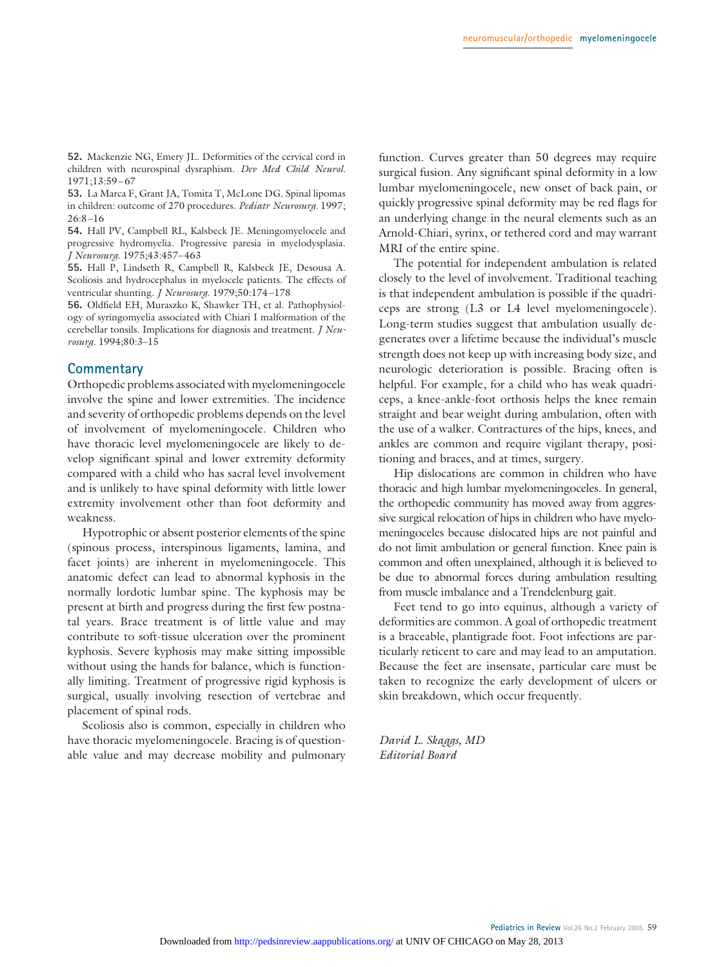**52.** Mackenzie NG, Emery JL. Deformities of the cervical cord in children with neurospinal dysraphism. *Dev Med Child Neurol.* 1971;13:59 – 67

**53.** La Marca F, Grant JA, Tomita T, McLone DG. Spinal lipomas in children: outcome of 270 procedures. *Pediatr Neurosurg.* 1997;  $26:8 - 16$ 

**54.** Hall PV, Campbell RL, Kalsbeck JE. Meningomyelocele and progressive hydromyelia. Progressive paresia in myelodysplasia. *J Neurosurg.* 1975;43:457– 463

**55.** Hall P, Lindseth R, Campbell R, Kalsbeck JE, Desousa A. Scoliosis and hydrocephalus in myelocele patients. The effects of ventricular shunting. *J Neurosurg.* 1979;50:174 –178

**56.** Oldfield EH, Muraszko K, Shawker TH, et al. Pathophysiology of syringomyelia associated with Chiari I malformation of the cerebellar tonsils. Implications for diagnosis and treatment. *J Neurosurg.* 1994;80:3–15

### **Commentary**

Orthopedic problems associated with myelomeningocele involve the spine and lower extremities. The incidence and severity of orthopedic problems depends on the level of involvement of myelomeningocele. Children who have thoracic level myelomeningocele are likely to develop significant spinal and lower extremity deformity compared with a child who has sacral level involvement and is unlikely to have spinal deformity with little lower extremity involvement other than foot deformity and weakness.

Hypotrophic or absent posterior elements of the spine (spinous process, interspinous ligaments, lamina, and facet joints) are inherent in myelomeningocele. This anatomic defect can lead to abnormal kyphosis in the normally lordotic lumbar spine. The kyphosis may be present at birth and progress during the first few postnatal years. Brace treatment is of little value and may contribute to soft-tissue ulceration over the prominent kyphosis. Severe kyphosis may make sitting impossible without using the hands for balance, which is functionally limiting. Treatment of progressive rigid kyphosis is surgical, usually involving resection of vertebrae and placement of spinal rods.

Scoliosis also is common, especially in children who have thoracic myelomeningocele. Bracing is of questionable value and may decrease mobility and pulmonary function. Curves greater than 50 degrees may require surgical fusion. Any significant spinal deformity in a low lumbar myelomeningocele, new onset of back pain, or quickly progressive spinal deformity may be red flags for an underlying change in the neural elements such as an Arnold-Chiari, syrinx, or tethered cord and may warrant MRI of the entire spine.

The potential for independent ambulation is related closely to the level of involvement. Traditional teaching is that independent ambulation is possible if the quadriceps are strong (L3 or L4 level myelomeningocele). Long-term studies suggest that ambulation usually degenerates over a lifetime because the individual's muscle strength does not keep up with increasing body size, and neurologic deterioration is possible. Bracing often is helpful. For example, for a child who has weak quadriceps, a knee-ankle-foot orthosis helps the knee remain straight and bear weight during ambulation, often with the use of a walker. Contractures of the hips, knees, and ankles are common and require vigilant therapy, positioning and braces, and at times, surgery.

Hip dislocations are common in children who have thoracic and high lumbar myelomeningoceles. In general, the orthopedic community has moved away from aggressive surgical relocation of hips in children who have myelomeningoceles because dislocated hips are not painful and do not limit ambulation or general function. Knee pain is common and often unexplained, although it is believed to be due to abnormal forces during ambulation resulting from muscle imbalance and a Trendelenburg gait.

Feet tend to go into equinus, although a variety of deformities are common. A goal of orthopedic treatment is a braceable, plantigrade foot. Foot infections are particularly reticent to care and may lead to an amputation. Because the feet are insensate, particular care must be taken to recognize the early development of ulcers or skin breakdown, which occur frequently.

*David L. Skaggs, MD Editorial Board*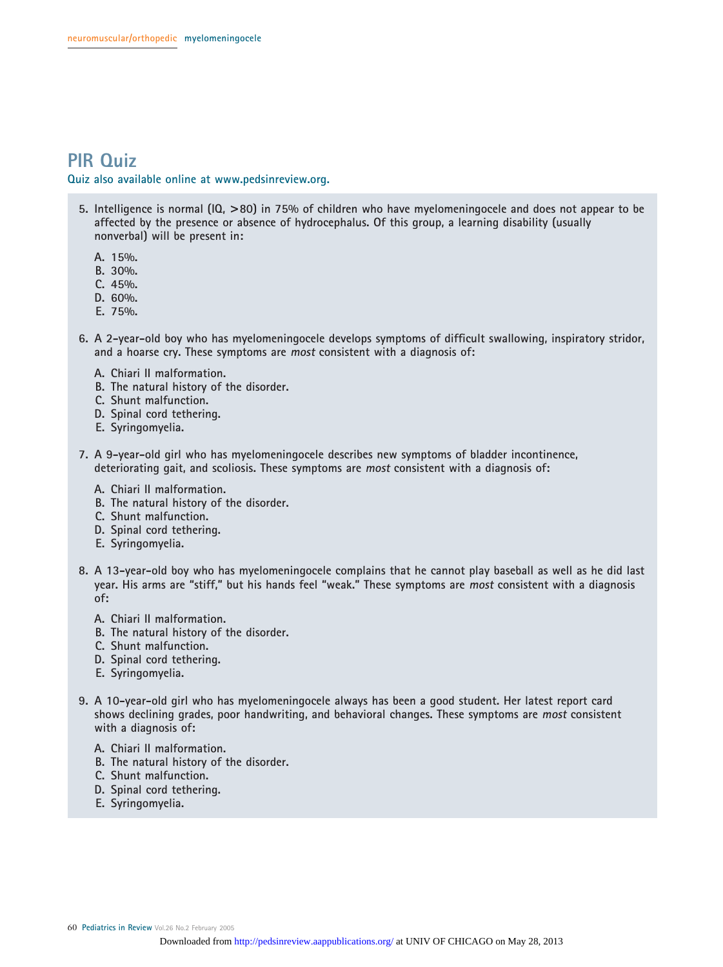# **PIR Quiz Quiz also available online at www.pedsinreview.org.**

- **5. Intelligence is normal (IQ, >80) in 75% of children who have myelomeningocele and does not appear to be affected by the presence or absence of hydrocephalus. Of this group, a learning disability (usually nonverbal) will be present in:**
	- **A. 15%.**
	- **B. 30%.**
	- **C. 45%.**
	- **D. 60%.**
	- **E. 75%.**
- **6. A 2-year-old boy who has myelomeningocele develops symptoms of difficult swallowing, inspiratory stridor, and a hoarse cry. These symptoms are most consistent with a diagnosis of:**
	- **A. Chiari II malformation.**
	- **B. The natural history of the disorder.**
	- **C. Shunt malfunction.**
	- **D. Spinal cord tethering.**
	- **E. Syringomyelia.**
- **7. A 9-year-old girl who has myelomeningocele describes new symptoms of bladder incontinence, deteriorating gait, and scoliosis. These symptoms are most consistent with a diagnosis of:**
	- **A. Chiari II malformation.**
	- **B. The natural history of the disorder.**
	- **C. Shunt malfunction.**
	- **D. Spinal cord tethering.**
	- **E. Syringomyelia.**
- **8. A 13-year-old boy who has myelomeningocele complains that he cannot play baseball as well as he did last year. His arms are "stiff," but his hands feel "weak." These symptoms are most consistent with a diagnosis of:**
	- **A. Chiari II malformation.**
	- **B. The natural history of the disorder.**
	- **C. Shunt malfunction.**
	- **D. Spinal cord tethering.**
	- **E. Syringomyelia.**
- **9. A 10-year-old girl who has myelomeningocele always has been a good student. Her latest report card shows declining grades, poor handwriting, and behavioral changes. These symptoms are most consistent with a diagnosis of:**
	- **A. Chiari II malformation.**
	- **B. The natural history of the disorder.**
	- **C. Shunt malfunction.**
	- **D. Spinal cord tethering.**
	- **E. Syringomyelia.**